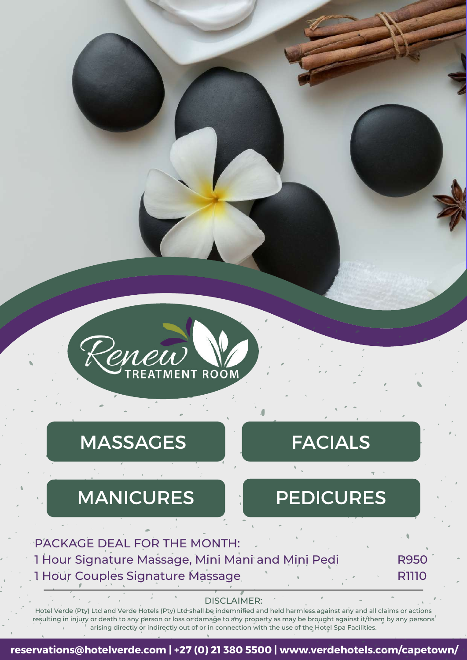

### MASSAGES FACIALS

### MANICURES **Representative MANICURES**

R950

R1110

#### PACKAGE DEAL FOR THE MONTH: 1 Hour Signature Massage, Mini Mani and Mini Pedi 1 Hour Couples Signature Massage

DISCLAIMER:

Hotel Verde (Pty) Ltd and Verde Hotels (Pty) Ltd shall be indemnified and held harmless against any and all claims or actions resulting in injury or death to any person or loss or damage to any property as may be brought against it/them by any persons arising directly or indirectly out of or in connection with the use of the Hotel Spa Facilities.

#### **reservations@hotelverde.com | +27 (0) 21 380 5500 | www.verdehotels.com/capetown/**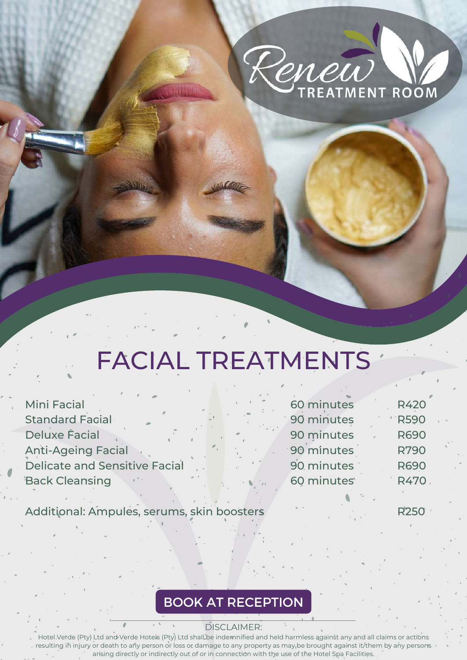

# FACIAL TREATMENTS

| <b>Mini Facial</b>                   |                                            | 60 minutes              | <b>R420</b> |
|--------------------------------------|--------------------------------------------|-------------------------|-------------|
| Standard Facial                      |                                            | 90 minutes              | <b>R590</b> |
| <b>Deluxe Facial</b>                 |                                            | 90 minutes              | <b>R690</b> |
| <b>Anti-Ageing Facial</b>            |                                            | 90 minutes              | <b>R790</b> |
| <b>Delicate and Sensitive Facial</b> |                                            | 90 minutes              | <b>R690</b> |
| <b>Back Cleansing</b>                | $\mathbb{R}^n$ . The set of $\mathbb{R}^n$ | 60 minutes <sup>®</sup> | <b>R470</b> |
|                                      |                                            |                         |             |

Additional: Ampules, serums, skin boosters

R250

#### BOOK AT RECEPTION

DISCLAIMER: Hotel Verde (Pty) Ltd and Verde Hotels (Pty) Ltd shall be indemnified and held harmless against any and all claims or actions resulting in injury or death to any person or loss or damage to any property as may be brought against it/them by any persons arising directly or indirectly out of or in connection with the use of the Hotel Spa Facilities.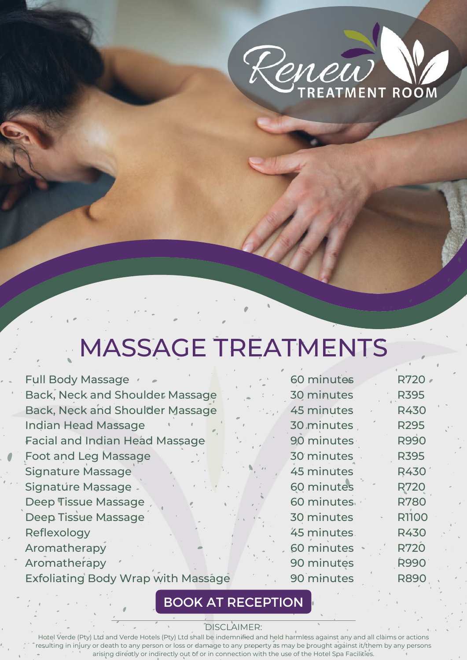

## MASSAGE TREATMENTS

Full Body Massage v Back, Neck and Shoulder Massage Back, Neck and Shoulder Massage Indian Head Massage Facial and Indian Head Massage Foot and Leg Massage Signature Massage Signature Massage Deep Tissue Massage Deep Tissue Massage Reflexology **Aromatherapy** Aromatherapy Exfoliating Body Wrap with Massage

|  | 60 minutes        | <b>R720</b>  |
|--|-------------------|--------------|
|  | <b>30 minutes</b> | <b>R395</b>  |
|  | <b>45 minutes</b> | R430         |
|  | 30 minutes        | <b>R295</b>  |
|  | 90 minutes        | <b>R990</b>  |
|  | 30 minutes        | <b>R395</b>  |
|  | <b>45 minutes</b> | <b>R430</b>  |
|  | 60 minutes        | <b>R720</b>  |
|  | 60 minutes        | <b>R780</b>  |
|  | 30 minutes        | <b>R1100</b> |
|  | 45 minutes.       | R430         |
|  | 60 minutes        | <b>R720</b>  |
|  | 90 minutes        | <b>R990</b>  |
|  | 90 minutes        | R890         |
|  |                   |              |

#### BOOK AT RECEPTION

#### DISCLAIMER:

Hotel Verde (Pty) Ltd and Verde Hotels (Pty) Ltd shall be indemnified and held harmless against any and all claims or actions resulting in injury or death to any person or loss or damage to any property as may be brought against it/them by any persons arising directly or indirectly out of or in connection with the use of the Hotel Spa Facilities.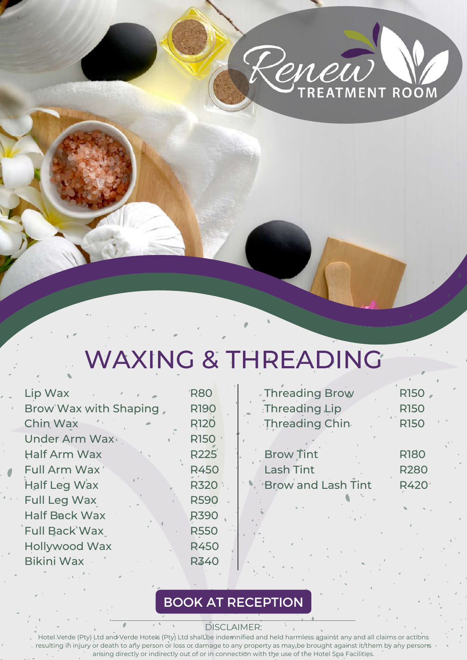

## WAXING & THREADING

| Lip Wax               | <b>R80</b>  | <b>Threading Brow</b>     | R150              |
|-----------------------|-------------|---------------------------|-------------------|
| Brow Wax with Shaping | <b>R190</b> | Threading Lip             | <b>R150</b>       |
| Chin Wax              | <b>R120</b> | Threading Chin            | <b>R150</b>       |
| Under Arm Wax         | <b>R150</b> |                           |                   |
| Half Arm Wax          | <b>R225</b> | <b>Brow Tint</b>          | <b>R180</b>       |
| Full Arm Wax'         | <b>R450</b> | <b>Lash Tint</b>          | <b>R280</b>       |
| Half Leg Wax          | <b>R320</b> | <b>Brow and Lash Tint</b> | R420 <sup>-</sup> |
| Full Leg Wax          | <b>R590</b> |                           |                   |
| <b>Half Back Wax</b>  | <b>R390</b> |                           |                   |
| <b>Full Back Wax</b>  | <b>R550</b> |                           |                   |
| <b>Hollywood Wax</b>  | <b>R450</b> |                           |                   |
| Bikini Wax            | <b>R340</b> |                           |                   |
|                       |             |                           |                   |

### BOOK AT RECEPTION

DISCLAIMER:

Hotel Verde (Pty) Ltd and Verde Hotels (Pty) Ltd shall be indemnified and held harmless against any and all claims or actions resulting in injury or death to any person or loss or damage to any property as may be brought against it/them by any persons arising directly or indirectly out of or in connection with the use of the Hotel Spa Facilities.